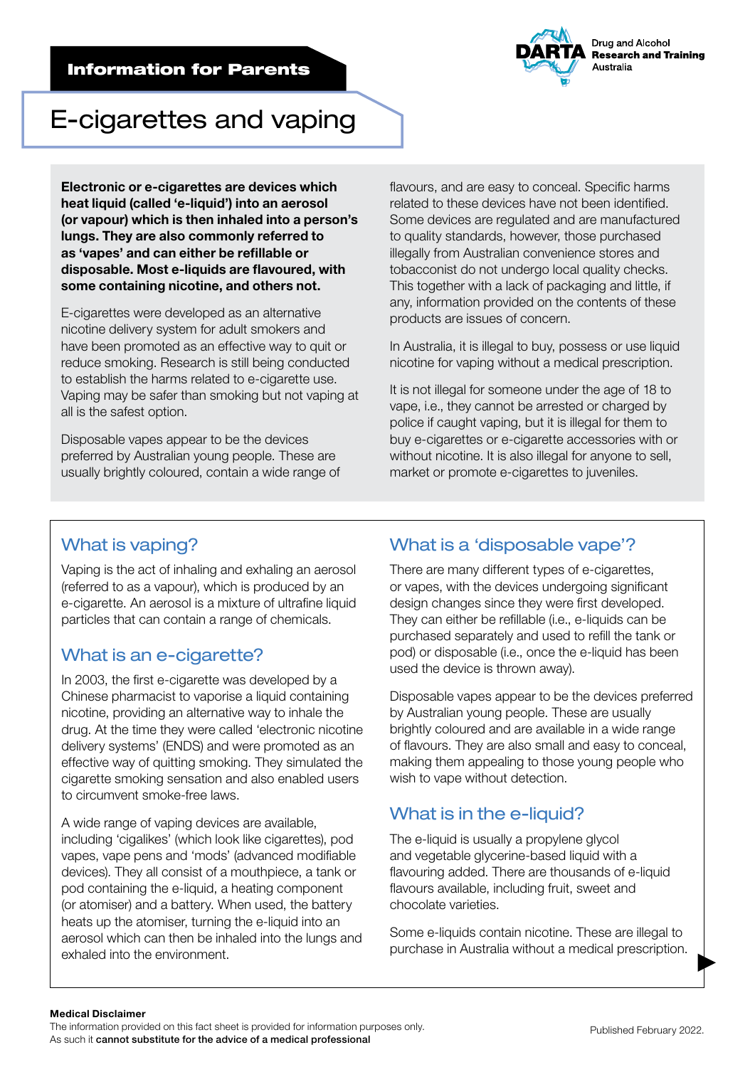### Information for Parents



# E-cigarettes and vaping

Electronic or e-cigarettes are devices which heat liquid (called 'e-liquid') into an aerosol (or vapour) which is then inhaled into a person's lungs. They are also commonly referred to as 'vapes' and can either be refillable or disposable. Most e-liquids are flavoured, with some containing nicotine, and others not.

E-cigarettes were developed as an alternative nicotine delivery system for adult smokers and have been promoted as an effective way to quit or reduce smoking. Research is still being conducted to establish the harms related to e-cigarette use. Vaping may be safer than smoking but not vaping at all is the safest option.

Disposable vapes appear to be the devices preferred by Australian young people. These are usually brightly coloured, contain a wide range of flavours, and are easy to conceal. Specific harms related to these devices have not been identified. Some devices are regulated and are manufactured to quality standards, however, those purchased illegally from Australian convenience stores and tobacconist do not undergo local quality checks. This together with a lack of packaging and little, if any, information provided on the contents of these products are issues of concern.

In Australia, it is illegal to buy, possess or use liquid nicotine for vaping without a medical prescription.

It is not illegal for someone under the age of 18 to vape, i.e., they cannot be arrested or charged by police if caught vaping, but it is illegal for them to buy e-cigarettes or e-cigarette accessories with or without nicotine. It is also illegal for anyone to sell, market or promote e-cigarettes to juveniles.

# What is vaping?

Vaping is the act of inhaling and exhaling an aerosol (referred to as a vapour), which is produced by an e-cigarette. An aerosol is a mixture of ultrafine liquid particles that can contain a range of chemicals.

# What is an e-cigarette?

In 2003, the first e-cigarette was developed by a Chinese pharmacist to vaporise a liquid containing nicotine, providing an alternative way to inhale the drug. At the time they were called 'electronic nicotine delivery systems' (ENDS) and were promoted as an effective way of quitting smoking. They simulated the cigarette smoking sensation and also enabled users to circumvent smoke-free laws.

A wide range of vaping devices are available, including 'cigalikes' (which look like cigarettes), pod vapes, vape pens and 'mods' (advanced modifiable devices). They all consist of a mouthpiece, a tank or pod containing the e-liquid, a heating component (or atomiser) and a battery. When used, the battery heats up the atomiser, turning the e-liquid into an aerosol which can then be inhaled into the lungs and exhaled into the environment.

# What is a 'disposable vape'?

There are many different types of e-cigarettes, or vapes, with the devices undergoing significant design changes since they were first developed. They can either be refillable (i.e., e-liquids can be purchased separately and used to refill the tank or pod) or disposable (i.e., once the e-liquid has been used the device is thrown away).

Disposable vapes appear to be the devices preferred by Australian young people. These are usually brightly coloured and are available in a wide range of flavours. They are also small and easy to conceal, making them appealing to those young people who wish to vape without detection.

# What is in the e-liquid?

The e-liquid is usually a propylene glycol and vegetable glycerine-based liquid with a flavouring added. There are thousands of e-liquid flavours available, including fruit, sweet and chocolate varieties.

Some e-liquids contain nicotine. These are illegal to purchase in Australia without a medical prescription.

#### Medical Disclaimer

The information provided on this fact sheet is provided for information purposes only. As such it cannot substitute for the advice of a medical professional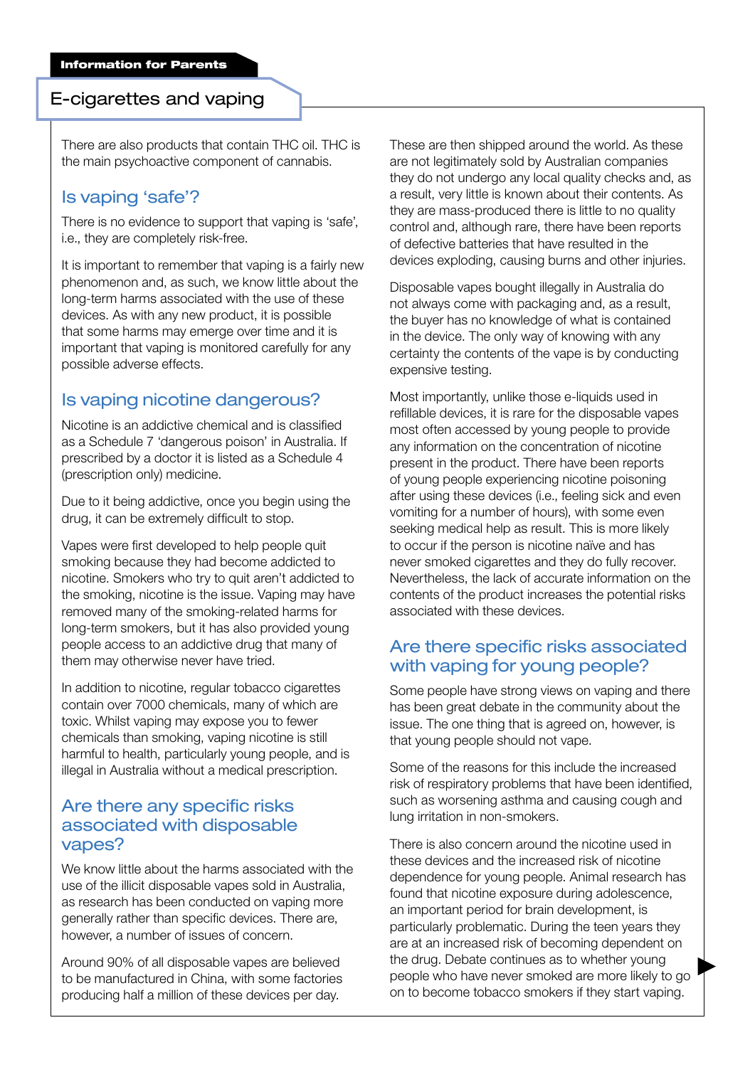#### E-cigarettes and vaping

There are also products that contain THC oil. THC is the main psychoactive component of cannabis.

# Is vaping 'safe'?

There is no evidence to support that vaping is 'safe', i.e., they are completely risk-free.

It is important to remember that vaping is a fairly new phenomenon and, as such, we know little about the long-term harms associated with the use of these devices. As with any new product, it is possible that some harms may emerge over time and it is important that vaping is monitored carefully for any possible adverse effects.

# Is vaping nicotine dangerous?

Nicotine is an addictive chemical and is classified as a Schedule 7 'dangerous poison' in Australia. If prescribed by a doctor it is listed as a Schedule 4 (prescription only) medicine.

Due to it being addictive, once you begin using the drug, it can be extremely difficult to stop.

Vapes were first developed to help people quit smoking because they had become addicted to nicotine. Smokers who try to quit aren't addicted to the smoking, nicotine is the issue. Vaping may have removed many of the smoking-related harms for long-term smokers, but it has also provided young people access to an addictive drug that many of them may otherwise never have tried.

In addition to nicotine, regular tobacco cigarettes contain over 7000 chemicals, many of which are toxic. Whilst vaping may expose you to fewer chemicals than smoking, vaping nicotine is still harmful to health, particularly young people, and is illegal in Australia without a medical prescription.

#### Are there any specific risks associated with disposable vapes?

We know little about the harms associated with the use of the illicit disposable vapes sold in Australia, as research has been conducted on vaping more generally rather than specific devices. There are, however, a number of issues of concern.

Around 90% of all disposable vapes are believed to be manufactured in China, with some factories producing half a million of these devices per day.

These are then shipped around the world. As these are not legitimately sold by Australian companies they do not undergo any local quality checks and, as a result, very little is known about their contents. As they are mass-produced there is little to no quality control and, although rare, there have been reports of defective batteries that have resulted in the devices exploding, causing burns and other injuries.

Disposable vapes bought illegally in Australia do not always come with packaging and, as a result, the buyer has no knowledge of what is contained in the device. The only way of knowing with any certainty the contents of the vape is by conducting expensive testing.

Most importantly, unlike those e-liquids used in refillable devices, it is rare for the disposable vapes most often accessed by young people to provide any information on the concentration of nicotine present in the product. There have been reports of young people experiencing nicotine poisoning after using these devices (i.e., feeling sick and even vomiting for a number of hours), with some even seeking medical help as result. This is more likely to occur if the person is nicotine naïve and has never smoked cigarettes and they do fully recover. Nevertheless, the lack of accurate information on the contents of the product increases the potential risks associated with these devices.

### Are there specific risks associated with vaping for young people?

Some people have strong views on vaping and there has been great debate in the community about the issue. The one thing that is agreed on, however, is that young people should not vape.

Some of the reasons for this include the increased risk of respiratory problems that have been identified, such as worsening asthma and causing cough and lung irritation in non-smokers.

There is also concern around the nicotine used in these devices and the increased risk of nicotine dependence for young people. Animal research has found that nicotine exposure during adolescence, an important period for brain development, is particularly problematic. During the teen years they are at an increased risk of becoming dependent on the drug. Debate continues as to whether young people who have never smoked are more likely to go on to become tobacco smokers if they start vaping.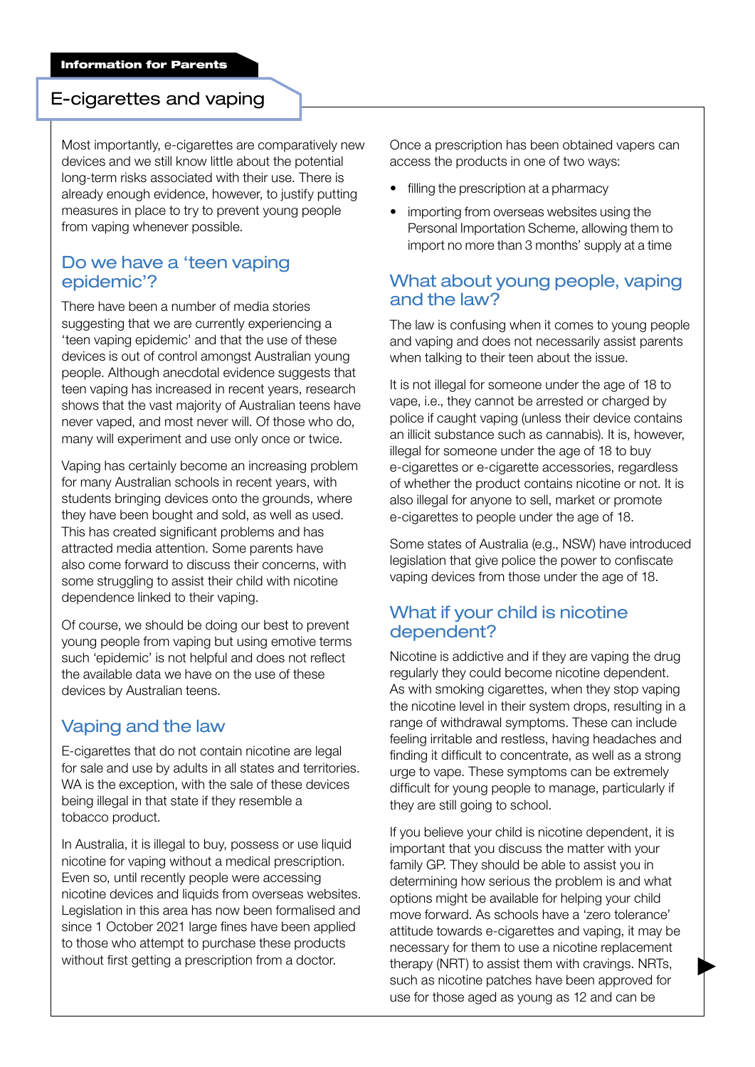#### E-cigarettes and vaping

Most importantly, e-cigarettes are comparatively new devices and we still know little about the potential long-term risks associated with their use. There is already enough evidence, however, to justify putting measures in place to try to prevent young people from vaping whenever possible.

### Do we have a 'teen vaping epidemic'?

There have been a number of media stories suggesting that we are currently experiencing a 'teen vaping epidemic' and that the use of these devices is out of control amongst Australian young people. Although anecdotal evidence suggests that teen vaping has increased in recent years, research shows that the vast majority of Australian teens have never vaped, and most never will. Of those who do, many will experiment and use only once or twice.

Vaping has certainly become an increasing problem for many Australian schools in recent years, with students bringing devices onto the grounds, where they have been bought and sold, as well as used. This has created significant problems and has attracted media attention. Some parents have also come forward to discuss their concerns, with some struggling to assist their child with nicotine dependence linked to their vaping.

Of course, we should be doing our best to prevent young people from vaping but using emotive terms such 'epidemic' is not helpful and does not reflect the available data we have on the use of these devices by Australian teens.

### Vaping and the law

E-cigarettes that do not contain nicotine are legal for sale and use by adults in all states and territories. WA is the exception, with the sale of these devices being illegal in that state if they resemble a tobacco product.

In Australia, it is illegal to buy, possess or use liquid nicotine for vaping without a medical prescription. Even so, until recently people were accessing nicotine devices and liquids from overseas websites. Legislation in this area has now been formalised and since 1 October 2021 large fines have been applied to those who attempt to purchase these products without first getting a prescription from a doctor.

Once a prescription has been obtained vapers can access the products in one of two ways:

- filling the prescription at a pharmacy
- importing from overseas websites using the Personal Importation Scheme, allowing them to import no more than 3 months' supply at a time

#### What about young people, vaping and the law?

The law is confusing when it comes to young people and vaping and does not necessarily assist parents when talking to their teen about the issue.

It is not illegal for someone under the age of 18 to vape, i.e., they cannot be arrested or charged by police if caught vaping (unless their device contains an illicit substance such as cannabis). It is, however, illegal for someone under the age of 18 to buy e-cigarettes or e-cigarette accessories, regardless of whether the product contains nicotine or not. It is also illegal for anyone to sell, market or promote e-cigarettes to people under the age of 18.

Some states of Australia (e.g., NSW) have introduced legislation that give police the power to confiscate vaping devices from those under the age of 18.

## What if your child is nicotine dependent?

Nicotine is addictive and if they are vaping the drug regularly they could become nicotine dependent. As with smoking cigarettes, when they stop vaping the nicotine level in their system drops, resulting in a range of withdrawal symptoms. These can include feeling irritable and restless, having headaches and finding it difficult to concentrate, as well as a strong urge to vape. These symptoms can be extremely difficult for young people to manage, particularly if they are still going to school.

If you believe your child is nicotine dependent, it is important that you discuss the matter with your family GP. They should be able to assist you in determining how serious the problem is and what options might be available for helping your child move forward. As schools have a 'zero tolerance' attitude towards e-cigarettes and vaping, it may be necessary for them to use a nicotine replacement therapy (NRT) to assist them with cravings. NRTs, such as nicotine patches have been approved for use for those aged as young as 12 and can be